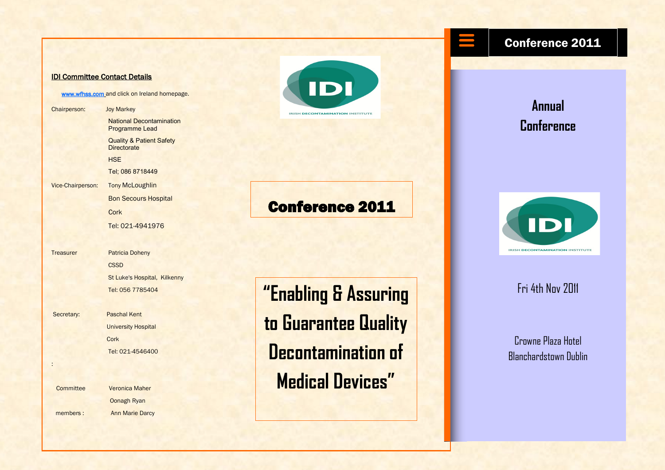#### IDI Committee Contact Details

[www.wfhss.com a](http://www.wfhss.com/)nd click on Ireland homepage.

| Chairperson:      | <b>Joy Markey</b>                                         |
|-------------------|-----------------------------------------------------------|
|                   | <b>National Decontamination</b><br><b>Programme Lead</b>  |
|                   | <b>Quality &amp; Patient Safety</b><br><b>Directorate</b> |
|                   | <b>HSE</b>                                                |
|                   | Tel: 086 8718449                                          |
| Vice-Chairperson: | <b>Tony McLoughlin</b>                                    |
|                   | <b>Bon Secours Hospital</b>                               |
|                   | Cork                                                      |
|                   | Tel: 021-4941976                                          |
|                   |                                                           |

Treasurer Patricia Doheny **CSSD** St Luke's Hospital, Kilkenny Tel: 056 7785404

Secretary: Paschal Kent

**University Hospital Cork** Tel: 021-4546400

:

 Committee Veronica Maher Oonagh Ryan members : Ann Marie Darcy



Conference 2011

**"Enabling & Assuring to Guarantee Quality Decontamination of Medical Devices"**

## Conference 2011

**Annual Conference**



Fri 4th Nny 7011

Crowne Plaza Hotel Blanchardstown Dublin